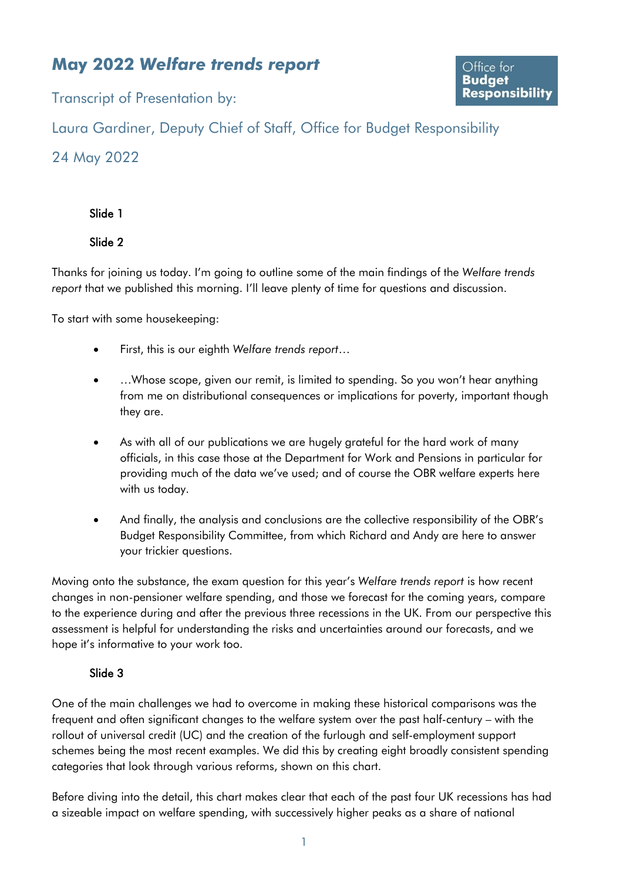# **May 2022** *Welfare trends report*

Transcript of Presentation by:

Laura Gardiner, Deputy Chief of Staff, Office for Budget Responsibility

# 24 May 2022

Slide 1

Slide 2

Thanks for joining us today. I'm going to outline some of the main findings of the *Welfare trends report* that we published this morning. I'll leave plenty of time for questions and discussion.

To start with some housekeeping:

- First, this is our eighth *Welfare trends report*…
- ...Whose scope, given our remit, is limited to spending. So you won't hear anything from me on distributional consequences or implications for poverty, important though they are.
- As with all of our publications we are hugely grateful for the hard work of many officials, in this case those at the Department for Work and Pensions in particular for providing much of the data we've used; and of course the OBR welfare experts here with us today.
- And finally, the analysis and conclusions are the collective responsibility of the OBR's Budget Responsibility Committee, from which Richard and Andy are here to answer your trickier questions.

Moving onto the substance, the exam question for this year's *Welfare trends report* is how recent changes in non-pensioner welfare spending, and those we forecast for the coming years, compare to the experience during and after the previous three recessions in the UK. From our perspective this assessment is helpful for understanding the risks and uncertainties around our forecasts, and we hope it's informative to your work too.

# Slide 3

One of the main challenges we had to overcome in making these historical comparisons was the frequent and often significant changes to the welfare system over the past half-century – with the rollout of universal credit (UC) and the creation of the furlough and self-employment support schemes being the most recent examples. We did this by creating eight broadly consistent spending categories that look through various reforms, shown on this chart.

Before diving into the detail, this chart makes clear that each of the past four UK recessions has had a sizeable impact on welfare spending, with successively higher peaks as a share of national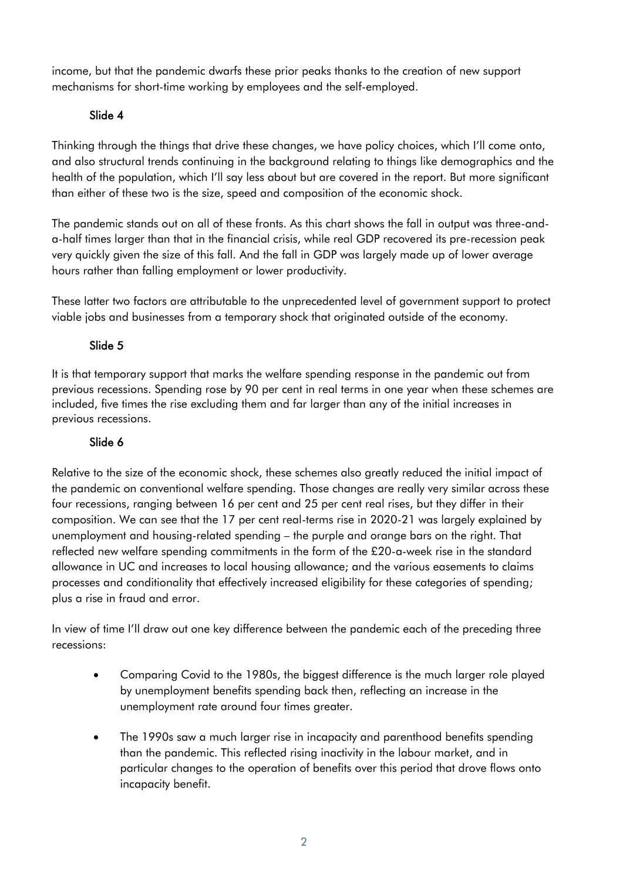income, but that the pandemic dwarfs these prior peaks thanks to the creation of new support mechanisms for short-time working by employees and the self-employed.

### Slide 4

Thinking through the things that drive these changes, we have policy choices, which I'll come onto, and also structural trends continuing in the background relating to things like demographics and the health of the population, which I'll say less about but are covered in the report. But more significant than either of these two is the size, speed and composition of the economic shock.

The pandemic stands out on all of these fronts. As this chart shows the fall in output was three-anda-half times larger than that in the financial crisis, while real GDP recovered its pre-recession peak very quickly given the size of this fall. And the fall in GDP was largely made up of lower average hours rather than falling employment or lower productivity.

These latter two factors are attributable to the unprecedented level of government support to protect viable jobs and businesses from a temporary shock that originated outside of the economy.

### Slide 5

It is that temporary support that marks the welfare spending response in the pandemic out from previous recessions. Spending rose by 90 per cent in real terms in one year when these schemes are included, five times the rise excluding them and far larger than any of the initial increases in previous recessions.

#### Slide 6

Relative to the size of the economic shock, these schemes also greatly reduced the initial impact of the pandemic on conventional welfare spending. Those changes are really very similar across these four recessions, ranging between 16 per cent and 25 per cent real rises, but they differ in their composition. We can see that the 17 per cent real-terms rise in 2020-21 was largely explained by unemployment and housing-related spending – the purple and orange bars on the right. That reflected new welfare spending commitments in the form of the £20-a-week rise in the standard allowance in UC and increases to local housing allowance; and the various easements to claims processes and conditionality that effectively increased eligibility for these categories of spending; plus a rise in fraud and error.

In view of time I'll draw out one key difference between the pandemic each of the preceding three recessions:

- Comparing Covid to the 1980s, the biggest difference is the much larger role played by unemployment benefits spending back then, reflecting an increase in the unemployment rate around four times greater.
- The 1990s saw a much larger rise in incapacity and parenthood benefits spending than the pandemic. This reflected rising inactivity in the labour market, and in particular changes to the operation of benefits over this period that drove flows onto incapacity benefit.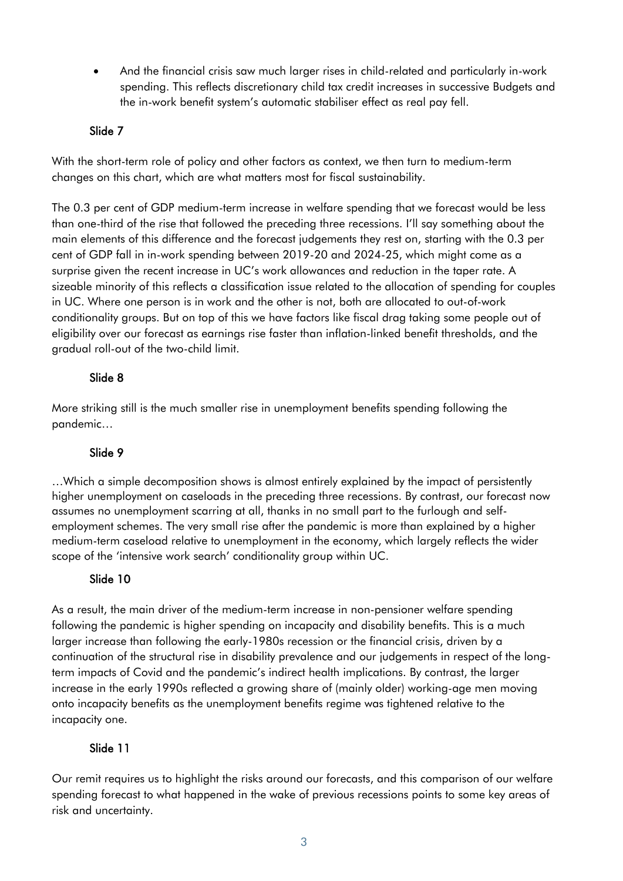• And the financial crisis saw much larger rises in child-related and particularly in-work spending. This reflects discretionary child tax credit increases in successive Budgets and the in-work benefit system's automatic stabiliser effect as real pay fell.

#### Slide 7

With the short-term role of policy and other factors as context, we then turn to medium-term changes on this chart, which are what matters most for fiscal sustainability.

The 0.3 per cent of GDP medium-term increase in welfare spending that we forecast would be less than one-third of the rise that followed the preceding three recessions. I'll say something about the main elements of this difference and the forecast judgements they rest on, starting with the 0.3 per cent of GDP fall in in-work spending between 2019-20 and 2024-25, which might come as a surprise given the recent increase in UC's work allowances and reduction in the taper rate. A sizeable minority of this reflects a classification issue related to the allocation of spending for couples in UC. Where one person is in work and the other is not, both are allocated to out-of-work conditionality groups. But on top of this we have factors like fiscal drag taking some people out of eligibility over our forecast as earnings rise faster than inflation-linked benefit thresholds, and the gradual roll-out of the two-child limit.

#### Slide 8

More striking still is the much smaller rise in unemployment benefits spending following the pandemic…

# Slide 9

…Which a simple decomposition shows is almost entirely explained by the impact of persistently higher unemployment on caseloads in the preceding three recessions. By contrast, our forecast now assumes no unemployment scarring at all, thanks in no small part to the furlough and selfemployment schemes. The very small rise after the pandemic is more than explained by a higher medium-term caseload relative to unemployment in the economy, which largely reflects the wider scope of the 'intensive work search' conditionality group within UC.

# Slide 10

As a result, the main driver of the medium-term increase in non-pensioner welfare spending following the pandemic is higher spending on incapacity and disability benefits. This is a much larger increase than following the early-1980s recession or the financial crisis, driven by a continuation of the structural rise in disability prevalence and our judgements in respect of the longterm impacts of Covid and the pandemic's indirect health implications. By contrast, the larger increase in the early 1990s reflected a growing share of (mainly older) working-age men moving onto incapacity benefits as the unemployment benefits regime was tightened relative to the incapacity one.

# Slide 11

Our remit requires us to highlight the risks around our forecasts, and this comparison of our welfare spending forecast to what happened in the wake of previous recessions points to some key areas of risk and uncertainty.